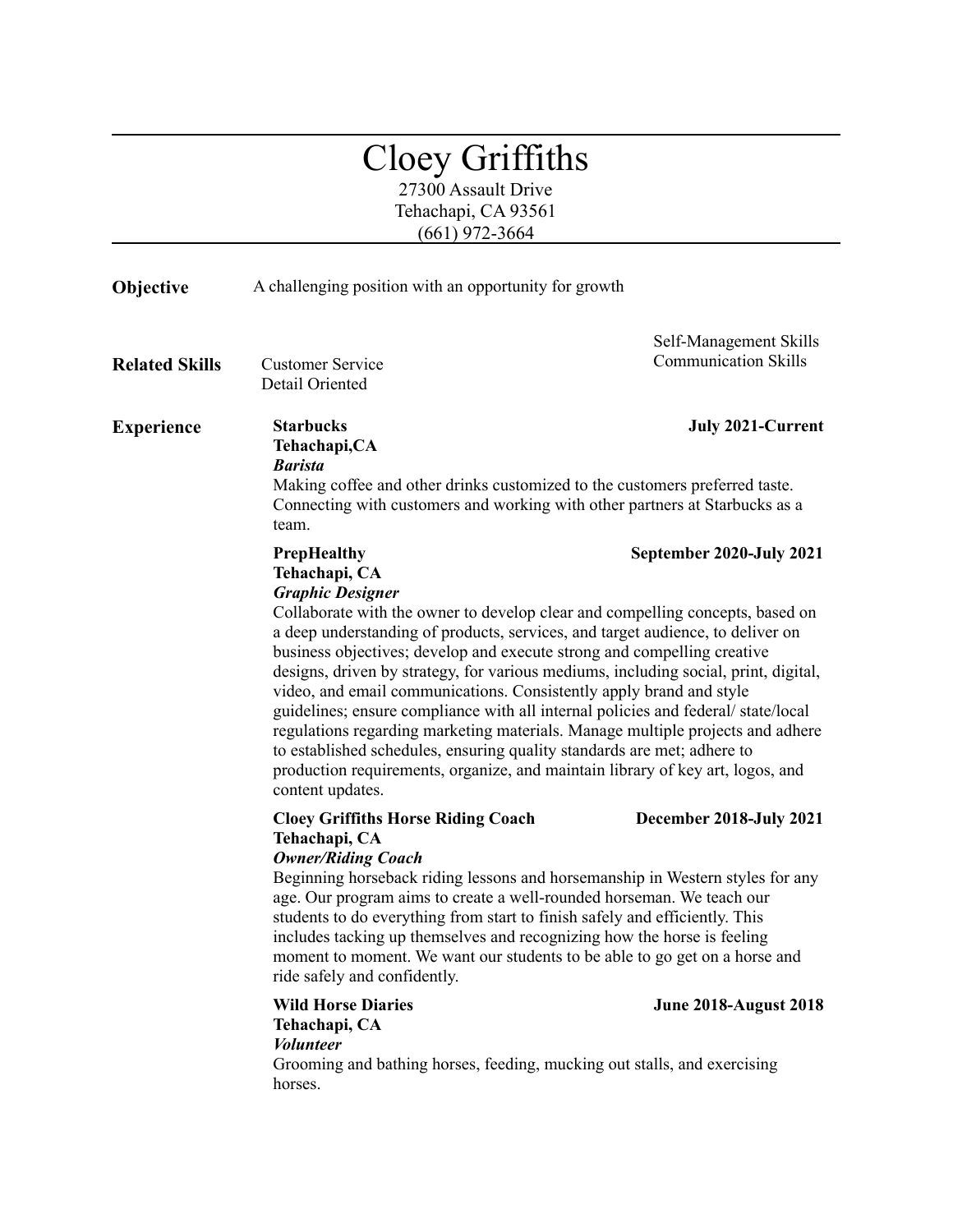## Cloey Griffiths

27300 Assault Drive Tehachapi, CA 93561 (661) 972-3664

| A challenging position with an opportunity for growth<br>Objective                                                                                                                                                                                                                                                                                                                                                                                                                                                                                                                                |                                                                                                                                                                                                                                                                                                                                                                        |
|---------------------------------------------------------------------------------------------------------------------------------------------------------------------------------------------------------------------------------------------------------------------------------------------------------------------------------------------------------------------------------------------------------------------------------------------------------------------------------------------------------------------------------------------------------------------------------------------------|------------------------------------------------------------------------------------------------------------------------------------------------------------------------------------------------------------------------------------------------------------------------------------------------------------------------------------------------------------------------|
| <b>Customer Service</b><br>Detail Oriented                                                                                                                                                                                                                                                                                                                                                                                                                                                                                                                                                        | Self-Management Skills<br><b>Communication Skills</b>                                                                                                                                                                                                                                                                                                                  |
| <b>Starbucks</b><br>Tehachapi, CA<br><b>Barista</b><br>Making coffee and other drinks customized to the customers preferred taste.                                                                                                                                                                                                                                                                                                                                                                                                                                                                | <b>July 2021-Current</b>                                                                                                                                                                                                                                                                                                                                               |
| team.                                                                                                                                                                                                                                                                                                                                                                                                                                                                                                                                                                                             |                                                                                                                                                                                                                                                                                                                                                                        |
| PrepHealthy<br>Tehachapi, CA<br><b>Graphic Designer</b><br>a deep understanding of products, services, and target audience, to deliver on<br>business objectives; develop and execute strong and compelling creative<br>video, and email communications. Consistently apply brand and style<br>to established schedules, ensuring quality standards are met; adhere to<br>production requirements, organize, and maintain library of key art, logos, and<br>content updates.                                                                                                                      | September 2020-July 2021<br>Collaborate with the owner to develop clear and compelling concepts, based on<br>designs, driven by strategy, for various mediums, including social, print, digital,<br>guidelines; ensure compliance with all internal policies and federal/state/local<br>regulations regarding marketing materials. Manage multiple projects and adhere |
| <b>Cloey Griffiths Horse Riding Coach</b><br>Tehachapi, CA<br><b>Owner/Riding Coach</b><br>age. Our program aims to create a well-rounded horseman. We teach our<br>students to do everything from start to finish safely and efficiently. This<br>includes tacking up themselves and recognizing how the horse is feeling<br>moment to moment. We want our students to be able to go get on a horse and<br>ride safely and confidently.<br><b>Wild Horse Diaries</b><br>Tehachapi, CA<br><b>Volunteer</b><br>Grooming and bathing horses, feeding, mucking out stalls, and exercising<br>horses. | December 2018-July 2021<br>Beginning horseback riding lessons and horsemanship in Western styles for any<br><b>June 2018-August 2018</b>                                                                                                                                                                                                                               |
|                                                                                                                                                                                                                                                                                                                                                                                                                                                                                                                                                                                                   | Connecting with customers and working with other partners at Starbucks as a                                                                                                                                                                                                                                                                                            |